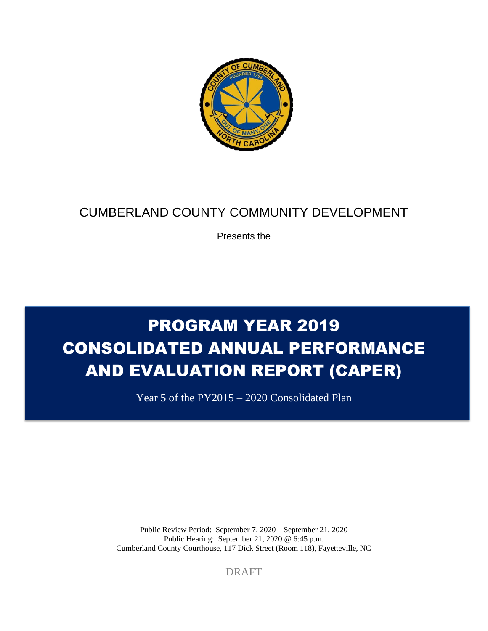

# CUMBERLAND COUNTY COMMUNITY DEVELOPMENT

Presents the

# PROGRAM YEAR 2019 CONSOLIDATED ANNUAL PERFORMANCE AND EVALUATION REPORT (CAPER)

Year 5 of the PY2015 – 2020 Consolidated Plan

Public Review Period: September 7, 2020 – September 21, 2020 Public Hearing: September 21, 2020 @ 6:45 p.m. Cumberland County Courthouse, 117 Dick Street (Room 118), Fayetteville, NC

DRAFT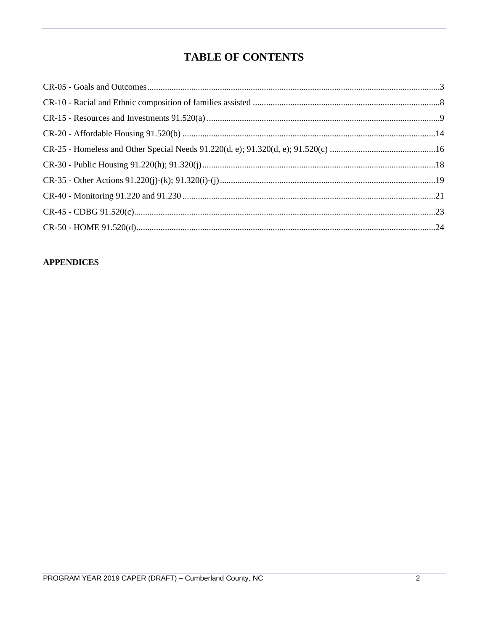# **TABLE OF CONTENTS**

#### **APPENDICES**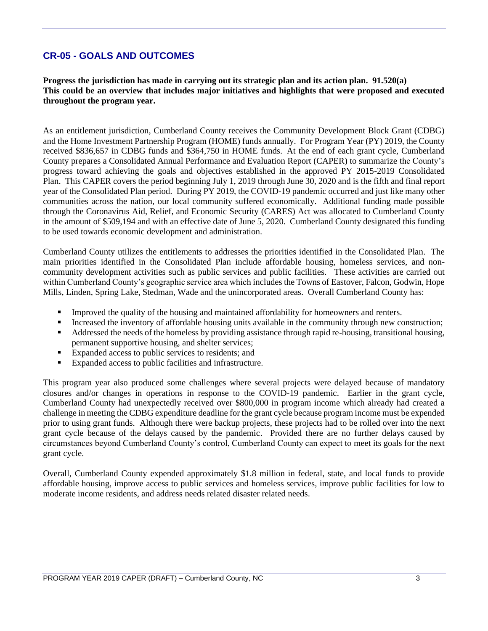# **CR-05 - GOALS AND OUTCOMES**

**Progress the jurisdiction has made in carrying out its strategic plan and its action plan. 91.520(a) This could be an overview that includes major initiatives and highlights that were proposed and executed throughout the program year.**

As an entitlement jurisdiction, Cumberland County receives the Community Development Block Grant (CDBG) and the Home Investment Partnership Program (HOME) funds annually. For Program Year (PY) 2019, the County received \$836,657 in CDBG funds and \$364,750 in HOME funds. At the end of each grant cycle, Cumberland County prepares a Consolidated Annual Performance and Evaluation Report (CAPER) to summarize the County's progress toward achieving the goals and objectives established in the approved PY 2015-2019 Consolidated Plan. This CAPER covers the period beginning July 1, 2019 through June 30, 2020 and is the fifth and final report year of the Consolidated Plan period. During PY 2019, the COVID-19 pandemic occurred and just like many other communities across the nation, our local community suffered economically. Additional funding made possible through the Coronavirus Aid, Relief, and Economic Security (CARES) Act was allocated to Cumberland County in the amount of \$509,194 and with an effective date of June 5, 2020. Cumberland County designated this funding to be used towards economic development and administration.

Cumberland County utilizes the entitlements to addresses the priorities identified in the Consolidated Plan. The main priorities identified in the Consolidated Plan include affordable housing, homeless services, and noncommunity development activities such as public services and public facilities. These activities are carried out within Cumberland County's geographic service area which includes the Towns of Eastover, Falcon, Godwin, Hope Mills, Linden, Spring Lake, Stedman, Wade and the unincorporated areas. Overall Cumberland County has:

- Improved the quality of the housing and maintained affordability for homeowners and renters.
- Increased the inventory of affordable housing units available in the community through new construction;
- Addressed the needs of the homeless by providing assistance through rapid re-housing, transitional housing, permanent supportive housing, and shelter services;
- Expanded access to public services to residents; and
- Expanded access to public facilities and infrastructure.

This program year also produced some challenges where several projects were delayed because of mandatory closures and/or changes in operations in response to the COVID-19 pandemic. Earlier in the grant cycle, Cumberland County had unexpectedly received over \$800,000 in program income which already had created a challenge in meeting the CDBG expenditure deadline for the grant cycle because program income must be expended prior to using grant funds. Although there were backup projects, these projects had to be rolled over into the next grant cycle because of the delays caused by the pandemic. Provided there are no further delays caused by circumstances beyond Cumberland County's control, Cumberland County can expect to meet its goals for the next grant cycle.

Overall, Cumberland County expended approximately \$1.8 million in federal, state, and local funds to provide affordable housing, improve access to public services and homeless services, improve public facilities for low to moderate income residents, and address needs related disaster related needs.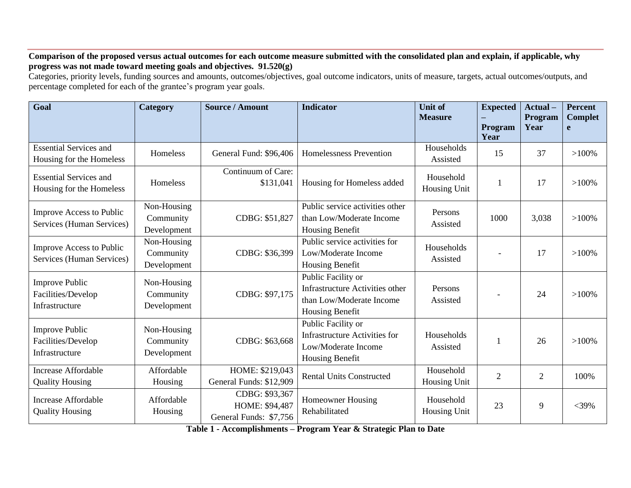#### **Comparison of the proposed versus actual outcomes for each outcome measure submitted with the consolidated plan and explain, if applicable, why progress was not made toward meeting goals and objectives. 91.520(g)**

Categories, priority levels, funding sources and amounts, outcomes/objectives, goal outcome indicators, units of measure, targets, actual outcomes/outputs, and percentage completed for each of the grantee's program year goals.

| Goal                                                          | Category                                | <b>Source / Amount</b>                                     | <b>Indicator</b>                                                                                            | <b>Unit of</b><br><b>Measure</b> | <b>Expected</b><br>Program | Actual-<br>Program<br>Year | <b>Percent</b><br><b>Complet</b><br>e |
|---------------------------------------------------------------|-----------------------------------------|------------------------------------------------------------|-------------------------------------------------------------------------------------------------------------|----------------------------------|----------------------------|----------------------------|---------------------------------------|
|                                                               |                                         |                                                            |                                                                                                             |                                  | Year                       |                            |                                       |
| <b>Essential Services and</b><br>Housing for the Homeless     | Homeless                                | General Fund: \$96,406                                     | <b>Homelessness Prevention</b>                                                                              | Households<br>Assisted           | 15                         | 37                         | $>100\%$                              |
| <b>Essential Services and</b><br>Housing for the Homeless     | Homeless                                | Continuum of Care:<br>\$131,041                            | Housing for Homeless added                                                                                  | Household<br>Housing Unit        |                            | 17                         | $>100\%$                              |
| Improve Access to Public<br>Services (Human Services)         | Non-Housing<br>Community<br>Development | CDBG: \$51,827                                             | Public service activities other<br>than Low/Moderate Income<br>Housing Benefit                              | Persons<br>Assisted              | 1000                       | 3,038                      | $>100\%$                              |
| <b>Improve Access to Public</b><br>Services (Human Services)  | Non-Housing<br>Community<br>Development | CDBG: \$36,399                                             | Public service activities for<br>Low/Moderate Income<br>Housing Benefit                                     | Households<br>Assisted           |                            | 17                         | $>100\%$                              |
| <b>Improve Public</b><br>Facilities/Develop<br>Infrastructure | Non-Housing<br>Community<br>Development | CDBG: \$97,175                                             | Public Facility or<br><b>Infrastructure Activities other</b><br>than Low/Moderate Income<br>Housing Benefit | Persons<br>Assisted              |                            | 24                         | $>100\%$                              |
| <b>Improve Public</b><br>Facilities/Develop<br>Infrastructure | Non-Housing<br>Community<br>Development | CDBG: \$63,668                                             | Public Facility or<br><b>Infrastructure Activities for</b><br>Low/Moderate Income<br>Housing Benefit        | Households<br>Assisted           |                            | 26                         | $>100\%$                              |
| <b>Increase Affordable</b><br><b>Quality Housing</b>          | Affordable<br>Housing                   | HOME: \$219,043<br>General Funds: \$12,909                 | <b>Rental Units Constructed</b>                                                                             | Household<br>Housing Unit        | $\overline{2}$             | $\overline{2}$             | 100%                                  |
| <b>Increase Affordable</b><br><b>Quality Housing</b>          | Affordable<br>Housing                   | CDBG: \$93,367<br>HOME: \$94,487<br>General Funds: \$7,756 | <b>Homeowner Housing</b><br>Rehabilitated                                                                   | Household<br>Housing Unit        | 23                         | 9                          | $<$ 39%                               |

**Table 1 - Accomplishments – Program Year & Strategic Plan to Date**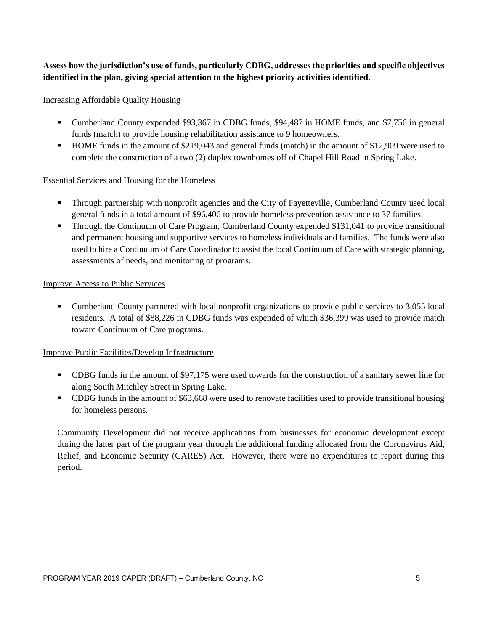## **Assess how the jurisdiction's use of funds, particularly CDBG, addresses the priorities and specific objectives identified in the plan, giving special attention to the highest priority activities identified.**

#### Increasing Affordable Quality Housing

- Cumberland County expended \$93,367 in CDBG funds, \$94,487 in HOME funds, and \$7,756 in general funds (match) to provide housing rehabilitation assistance to 9 homeowners.
- HOME funds in the amount of \$219,043 and general funds (match) in the amount of \$12,909 were used to complete the construction of a two (2) duplex townhomes off of Chapel Hill Road in Spring Lake.

#### Essential Services and Housing for the Homeless

- Through partnership with nonprofit agencies and the City of Fayetteville, Cumberland County used local general funds in a total amount of \$96,406 to provide homeless prevention assistance to 37 families.
- **•** Through the Continuum of Care Program, Cumberland County expended \$131,041 to provide transitional and permanent housing and supportive services to homeless individuals and families. The funds were also used to hire a Continuum of Care Coordinator to assist the local Continuum of Care with strategic planning, assessments of needs, and monitoring of programs.

#### Improve Access to Public Services

• Cumberland County partnered with local nonprofit organizations to provide public services to 3,055 local residents. A total of \$88,226 in CDBG funds was expended of which \$36,399 was used to provide match toward Continuum of Care programs.

#### Improve Public Facilities/Develop Infrastructure

- CDBG funds in the amount of \$97,175 were used towards for the construction of a sanitary sewer line for along South Mitchley Street in Spring Lake.
- CDBG funds in the amount of \$63,668 were used to renovate facilities used to provide transitional housing for homeless persons.

Community Development did not receive applications from businesses for economic development except during the latter part of the program year through the additional funding allocated from the Coronavirus Aid, Relief, and Economic Security (CARES) Act. However, there were no expenditures to report during this period.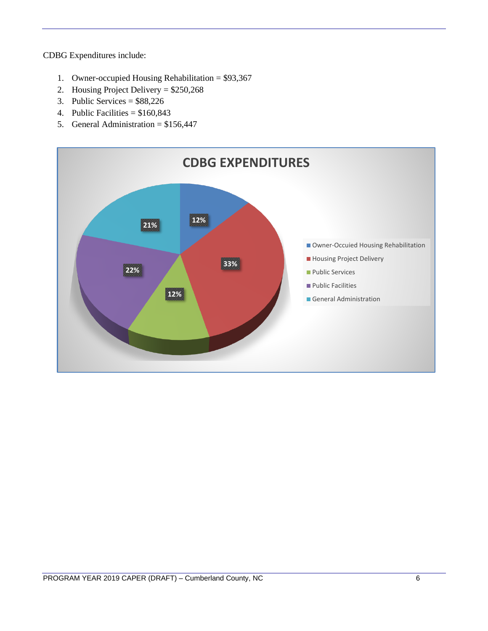CDBG Expenditures include:

- 1. Owner-occupied Housing Rehabilitation = \$93,367
- 2. Housing Project Delivery = \$250,268
- 3. Public Services = \$88,226
- 4. Public Facilities  $= $160,843$
- 5. General Administration = \$156,447

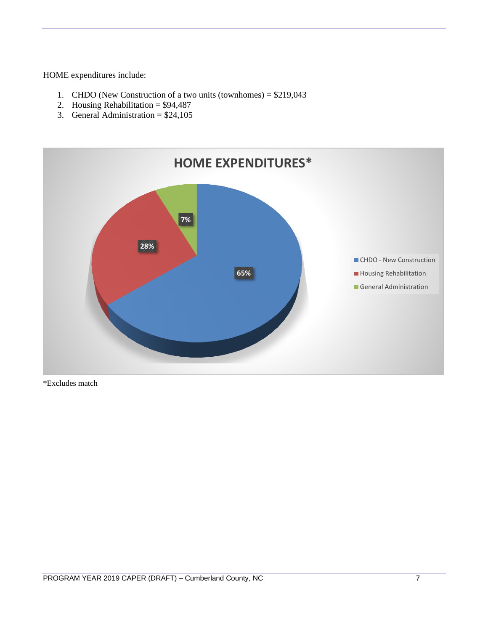HOME expenditures include:

- 1. CHDO (New Construction of a two units (townhomes) = \$219,043
- 2. Housing Rehabilitation =  $$94,487$
- 3. General Administration =  $$24,105$



\*Excludes match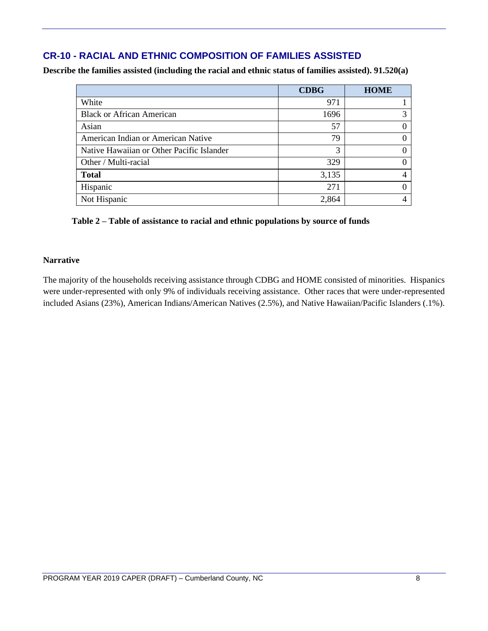# **CR-10 - RACIAL AND ETHNIC COMPOSITION OF FAMILIES ASSISTED**

**Describe the families assisted (including the racial and ethnic status of families assisted). 91.520(a)** 

|                                           | <b>CDBG</b> | <b>HOME</b> |
|-------------------------------------------|-------------|-------------|
| White                                     | 971         |             |
| <b>Black or African American</b>          | 1696        |             |
| Asian                                     | 57          | 0           |
| American Indian or American Native        | 79          | 0           |
| Native Hawaiian or Other Pacific Islander | 3           | 0           |
| Other / Multi-racial                      | 329         | 0           |
| <b>Total</b>                              | 3,135       | 4           |
| Hispanic                                  | 271         | 0           |
| Not Hispanic                              | 2,864       |             |

#### **Table 2 – Table of assistance to racial and ethnic populations by source of funds**

#### **Narrative**

The majority of the households receiving assistance through CDBG and HOME consisted of minorities. Hispanics were under-represented with only 9% of individuals receiving assistance. Other races that were under-represented included Asians (23%), American Indians/American Natives (2.5%), and Native Hawaiian/Pacific Islanders (.1%).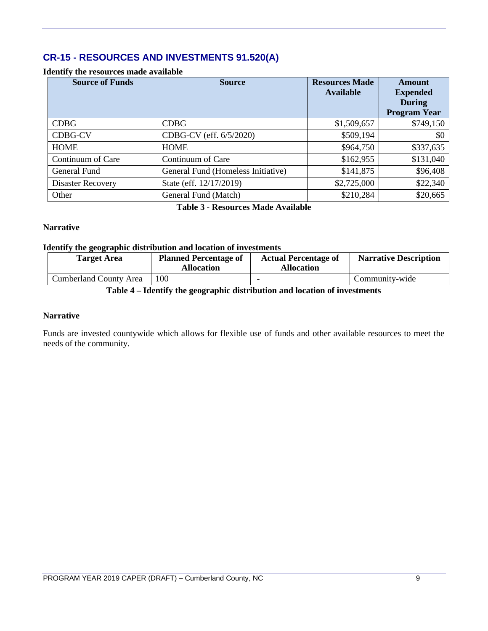# **CR-15 - RESOURCES AND INVESTMENTS 91.520(A)**

#### **Identify the resources made available**

| <b>Source of Funds</b>   | <b>Source</b>                      | <b>Resources Made</b><br><b>Available</b> | <b>Amount</b><br><b>Expended</b><br><b>During</b><br><b>Program Year</b> |
|--------------------------|------------------------------------|-------------------------------------------|--------------------------------------------------------------------------|
| <b>CDBG</b>              | <b>CDBG</b>                        | \$1,509,657                               | \$749,150                                                                |
| <b>CDBG-CV</b>           | CDBG-CV (eff. 6/5/2020)            | \$509,194                                 | \$0                                                                      |
| <b>HOME</b>              | <b>HOME</b>                        | \$964,750                                 | \$337,635                                                                |
| Continuum of Care        | Continuum of Care                  | \$162,955                                 | \$131,040                                                                |
| General Fund             | General Fund (Homeless Initiative) | \$141,875                                 | \$96,408                                                                 |
| <b>Disaster Recovery</b> | State (eff. 12/17/2019)            | \$2,725,000                               | \$22,340                                                                 |
| Other                    | General Fund (Match)               | \$210,284                                 | \$20,665                                                                 |

**Table 3 - Resources Made Available**

#### **Narrative**

#### **Identify the geographic distribution and location of investments**

| <b>Target Area</b>            | <b>Planned Percentage of</b><br><b>Allocation</b> | <b>Actual Percentage of</b><br><b>Allocation</b> | <b>Narrative Description</b> |
|-------------------------------|---------------------------------------------------|--------------------------------------------------|------------------------------|
| <b>Cumberland County Area</b> | 100                                               |                                                  | Community-wide               |

#### **Table 4 – Identify the geographic distribution and location of investments**

#### **Narrative**

Funds are invested countywide which allows for flexible use of funds and other available resources to meet the needs of the community.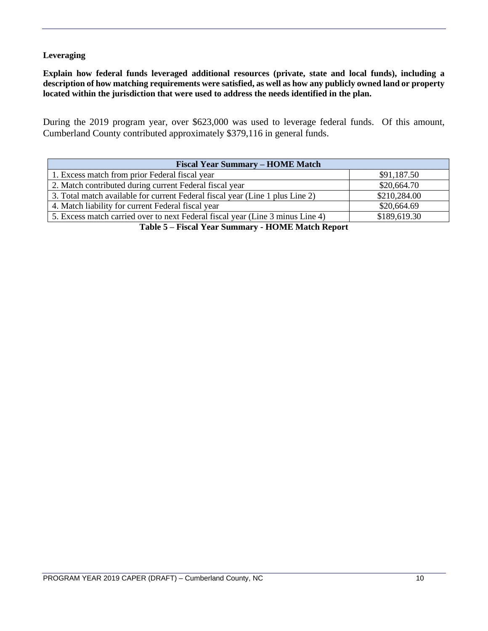#### **Leveraging**

**Explain how federal funds leveraged additional resources (private, state and local funds), including a description of how matching requirements were satisfied, as well as how any publicly owned land or property located within the jurisdiction that were used to address the needs identified in the plan.**

During the 2019 program year, over \$623,000 was used to leverage federal funds. Of this amount, Cumberland County contributed approximately \$379,116 in general funds.

| <b>Fiscal Year Summary – HOME Match</b>                                            |              |  |  |  |  |  |
|------------------------------------------------------------------------------------|--------------|--|--|--|--|--|
| 1. Excess match from prior Federal fiscal year                                     | \$91,187.50  |  |  |  |  |  |
| 2. Match contributed during current Federal fiscal year                            | \$20,664.70  |  |  |  |  |  |
| 3. Total match available for current Federal fiscal year (Line 1 plus Line 2)      | \$210,284.00 |  |  |  |  |  |
| 4. Match liability for current Federal fiscal year                                 | \$20,664.69  |  |  |  |  |  |
| 5. Excess match carried over to next Federal fiscal year (Line 3 minus Line 4)     | \$189,619.30 |  |  |  |  |  |
| $\mathbf{m}$ is $\mathbf{m}$ . The state $\mathbf{m}$ is the state of $\mathbf{m}$ |              |  |  |  |  |  |

**Table 5 – Fiscal Year Summary - HOME Match Report**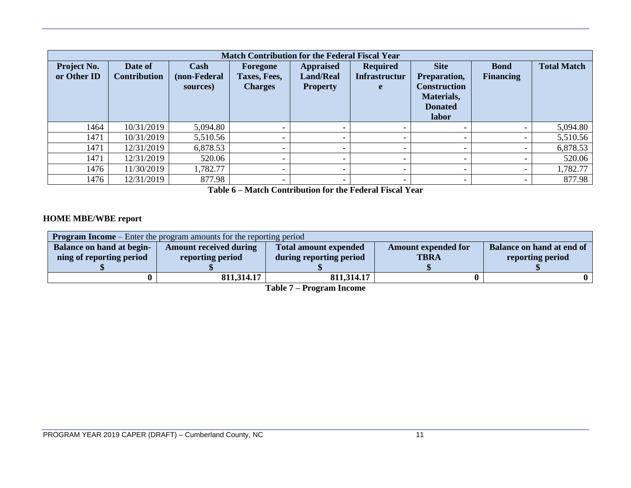|                                   | <b>Match Contribution for the Federal Fiscal Year</b> |                                  |                                            |                                                         |                                              |                                                                                             |                                 |                    |  |  |  |  |
|-----------------------------------|-------------------------------------------------------|----------------------------------|--------------------------------------------|---------------------------------------------------------|----------------------------------------------|---------------------------------------------------------------------------------------------|---------------------------------|--------------------|--|--|--|--|
| <b>Project No.</b><br>or Other ID | Date of<br><b>Contribution</b>                        | Cash<br>(non-Federal<br>sources) | Foregone<br>Taxes, Fees,<br><b>Charges</b> | <b>Appraised</b><br><b>Land/Real</b><br><b>Property</b> | <b>Required</b><br><b>Infrastructur</b><br>e | <b>Site</b><br>Preparation,<br><b>Construction</b><br>Materials,<br><b>Donated</b><br>labor | <b>Bond</b><br><b>Financing</b> | <b>Total Match</b> |  |  |  |  |
| 1464                              | 10/31/2019                                            | 5,094.80                         | $\overline{\phantom{a}}$                   |                                                         |                                              |                                                                                             | -                               | 5,094.80           |  |  |  |  |
| 1471                              | 10/31/2019                                            | 5,510.56                         | $\overline{\phantom{0}}$                   |                                                         |                                              |                                                                                             | $\overline{\phantom{0}}$        | 5,510.56           |  |  |  |  |
| 1471                              | 12/31/2019                                            | 6,878.53                         | $\overline{\phantom{0}}$                   |                                                         |                                              | -                                                                                           | $\overline{\phantom{0}}$        | 6,878.53           |  |  |  |  |
| 1471                              | 12/31/2019                                            | 520.06                           | $\overline{\phantom{a}}$                   |                                                         |                                              | $\overline{\phantom{0}}$                                                                    | $\overline{\phantom{0}}$        | 520.06             |  |  |  |  |
| 1476                              | 11/30/2019                                            | 1,782.77                         | $\overline{\phantom{a}}$                   | $\overline{\phantom{0}}$                                |                                              | $\overline{\phantom{0}}$                                                                    | $\overline{\phantom{a}}$        | 1,782.77           |  |  |  |  |
| 1476                              | 12/31/2019                                            | 877.98                           | $\overline{\phantom{0}}$                   | $\overline{\phantom{0}}$                                |                                              | -                                                                                           | -                               | 877.98             |  |  |  |  |

**Table 6 – Match Contribution for the Federal Fiscal Year**

#### **HOME MBE/WBE report**

| <b>Program Income</b> – Enter the program amounts for the reporting period |                               |                              |                            |                           |  |  |  |  |
|----------------------------------------------------------------------------|-------------------------------|------------------------------|----------------------------|---------------------------|--|--|--|--|
| <b>Balance on hand at begin-</b>                                           | <b>Amount received during</b> | <b>Total amount expended</b> | <b>Amount expended for</b> | Balance on hand at end of |  |  |  |  |
| ning of reporting period                                                   | reporting period              | during reporting period      | <b>TBRA</b>                | reporting period          |  |  |  |  |
|                                                                            |                               |                              |                            |                           |  |  |  |  |
|                                                                            | 811,314.17                    | 811,314.17                   |                            |                           |  |  |  |  |

**Table 7 – Program Income**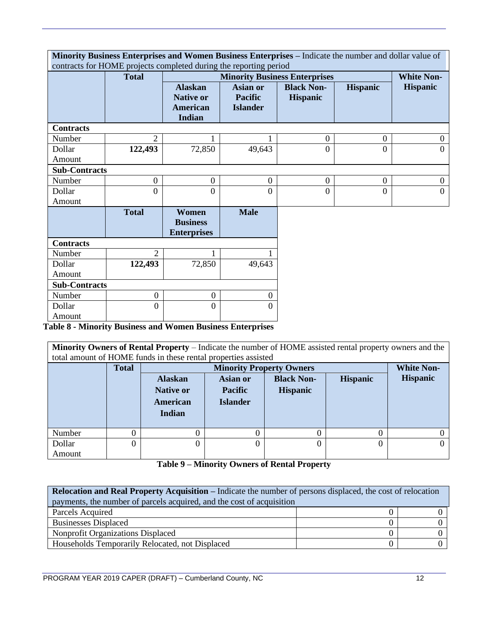| Minority Business Enterprises and Women Business Enterprises - Indicate the number and dollar value of<br>contracts for HOME projects completed during the reporting period |                  |                                                                 |                                                      |                                      |                  |                   |  |
|-----------------------------------------------------------------------------------------------------------------------------------------------------------------------------|------------------|-----------------------------------------------------------------|------------------------------------------------------|--------------------------------------|------------------|-------------------|--|
|                                                                                                                                                                             | <b>Total</b>     |                                                                 |                                                      | <b>Minority Business Enterprises</b> |                  | <b>White Non-</b> |  |
|                                                                                                                                                                             |                  | <b>Alaskan</b><br><b>Native or</b><br><b>American</b><br>Indian | <b>Asian or</b><br><b>Pacific</b><br><b>Islander</b> | <b>Black Non-</b><br><b>Hispanic</b> | <b>Hispanic</b>  | <b>Hispanic</b>   |  |
| <b>Contracts</b>                                                                                                                                                            |                  |                                                                 |                                                      |                                      |                  |                   |  |
| Number                                                                                                                                                                      | $\overline{2}$   |                                                                 |                                                      | $\boldsymbol{0}$                     | $\overline{0}$   | $\overline{0}$    |  |
| Dollar                                                                                                                                                                      | 122,493          | 72,850                                                          | 49,643                                               | $\overline{0}$                       | $\Omega$         | $\Omega$          |  |
| Amount                                                                                                                                                                      |                  |                                                                 |                                                      |                                      |                  |                   |  |
| <b>Sub-Contracts</b>                                                                                                                                                        |                  |                                                                 |                                                      |                                      |                  |                   |  |
| Number                                                                                                                                                                      | $\boldsymbol{0}$ | $\boldsymbol{0}$                                                | $\overline{0}$                                       | $\boldsymbol{0}$                     | $\boldsymbol{0}$ | $\boldsymbol{0}$  |  |
| Dollar                                                                                                                                                                      | $\overline{0}$   | $\overline{0}$                                                  | $\overline{0}$                                       | $\overline{0}$                       | $\overline{0}$   | $\overline{0}$    |  |
| Amount                                                                                                                                                                      |                  |                                                                 |                                                      |                                      |                  |                   |  |
|                                                                                                                                                                             | <b>Total</b>     | Women<br><b>Business</b><br><b>Enterprises</b>                  | <b>Male</b>                                          |                                      |                  |                   |  |
| <b>Contracts</b>                                                                                                                                                            |                  |                                                                 |                                                      |                                      |                  |                   |  |
| Number                                                                                                                                                                      | 2                |                                                                 |                                                      |                                      |                  |                   |  |
| Dollar                                                                                                                                                                      | 122,493          | 72,850                                                          | 49,643                                               |                                      |                  |                   |  |
| Amount                                                                                                                                                                      |                  |                                                                 |                                                      |                                      |                  |                   |  |
| <b>Sub-Contracts</b>                                                                                                                                                        |                  |                                                                 |                                                      |                                      |                  |                   |  |
| Number                                                                                                                                                                      | $\boldsymbol{0}$ | $\mathbf{0}$                                                    | $\overline{0}$                                       |                                      |                  |                   |  |
| Dollar                                                                                                                                                                      | $\theta$         | $\Omega$                                                        | $\Omega$                                             |                                      |                  |                   |  |
| Amount                                                                                                                                                                      |                  |                                                                 |                                                      |                                      |                  |                   |  |

**Table 8 - Minority Business and Women Business Enterprises**

**Minority Owners of Rental Property** – Indicate the number of HOME assisted rental property owners and the total amount of HOME funds in these rental properties assisted

|        | <b>Total</b> |                  | <b>Minority Property Owners</b>                  |                 |                 |  |  |  |
|--------|--------------|------------------|--------------------------------------------------|-----------------|-----------------|--|--|--|
|        |              | <b>Alaskan</b>   | <b>Black Non-</b><br><b>Hispanic</b><br>Asian or |                 | <b>Hispanic</b> |  |  |  |
|        |              | <b>Native or</b> | <b>Pacific</b>                                   | <b>Hispanic</b> |                 |  |  |  |
|        |              | American         | <b>Islander</b>                                  |                 |                 |  |  |  |
|        |              | Indian           |                                                  |                 |                 |  |  |  |
| Number | 0            | 0                |                                                  |                 | 0               |  |  |  |
| Dollar | 0            | 0                |                                                  |                 | 0               |  |  |  |
| Amount |              |                  |                                                  |                 |                 |  |  |  |

**Table 9 – Minority Owners of Rental Property**

| <b>Relocation and Real Property Acquisition – Indicate the number of persons displaced, the cost of relocation</b> |  |  |  |  |  |
|--------------------------------------------------------------------------------------------------------------------|--|--|--|--|--|
| payments, the number of parcels acquired, and the cost of acquisition                                              |  |  |  |  |  |
| Parcels Acquired                                                                                                   |  |  |  |  |  |
| <b>Businesses Displaced</b>                                                                                        |  |  |  |  |  |
| <b>Nonprofit Organizations Displaced</b>                                                                           |  |  |  |  |  |
| Households Temporarily Relocated, not Displaced                                                                    |  |  |  |  |  |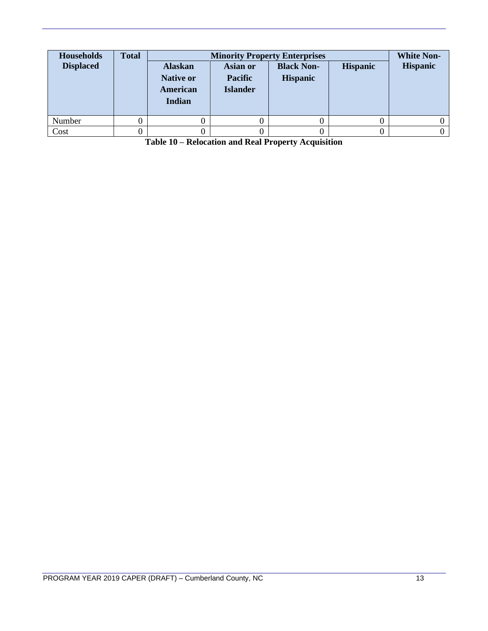| <b>Households</b><br><b>Displaced</b> | <b>Total</b> | <b>Alaskan</b><br><b>Native or</b><br>American<br>Indian | Asian or<br><b>Pacific</b><br><b>Islander</b> | <b>Minority Property Enterprises</b><br><b>Black Non-</b><br><b>Hispanic</b> | <b>Hispanic</b> | <b>White Non-</b><br><b>Hispanic</b> |
|---------------------------------------|--------------|----------------------------------------------------------|-----------------------------------------------|------------------------------------------------------------------------------|-----------------|--------------------------------------|
| Number                                |              |                                                          |                                               |                                                                              |                 |                                      |
| Cost                                  |              |                                                          |                                               |                                                                              |                 |                                      |

**Table 10 – Relocation and Real Property Acquisition**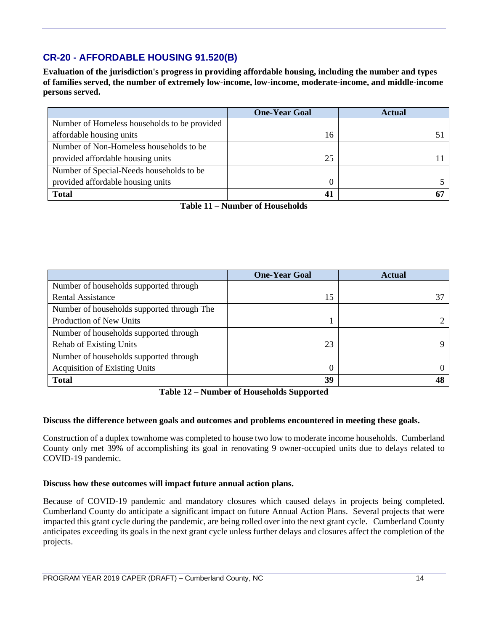# **CR-20 - AFFORDABLE HOUSING 91.520(B)**

**Evaluation of the jurisdiction's progress in providing affordable housing, including the number and types of families served, the number of extremely low-income, low-income, moderate-income, and middle-income persons served.**

|                                              | <b>One-Year Goal</b> | <b>Actual</b> |
|----------------------------------------------|----------------------|---------------|
| Number of Homeless households to be provided |                      |               |
| affordable housing units                     | 16                   |               |
| Number of Non-Homeless households to be      |                      |               |
| provided affordable housing units            | 25                   |               |
| Number of Special-Needs households to be     |                      |               |
| provided affordable housing units            |                      |               |
| <b>Total</b>                                 | 41                   |               |

**Table 11 – Number of Households**

|                                            | <b>One-Year Goal</b> | <b>Actual</b> |
|--------------------------------------------|----------------------|---------------|
| Number of households supported through     |                      |               |
| <b>Rental Assistance</b>                   | 15                   |               |
| Number of households supported through The |                      |               |
| Production of New Units                    |                      |               |
| Number of households supported through     |                      |               |
| <b>Rehab of Existing Units</b>             | 23                   |               |
| Number of households supported through     |                      |               |
| <b>Acquisition of Existing Units</b>       | $\Omega$             |               |
| <b>Total</b>                               | 39                   |               |

**Table 12 – Number of Households Supported**

#### **Discuss the difference between goals and outcomes and problems encountered in meeting these goals.**

Construction of a duplex townhome was completed to house two low to moderate income households. Cumberland County only met 39% of accomplishing its goal in renovating 9 owner-occupied units due to delays related to COVID-19 pandemic.

#### **Discuss how these outcomes will impact future annual action plans.**

Because of COVID-19 pandemic and mandatory closures which caused delays in projects being completed. Cumberland County do anticipate a significant impact on future Annual Action Plans. Several projects that were impacted this grant cycle during the pandemic, are being rolled over into the next grant cycle. Cumberland County anticipates exceeding its goals in the next grant cycle unless further delays and closures affect the completion of the projects.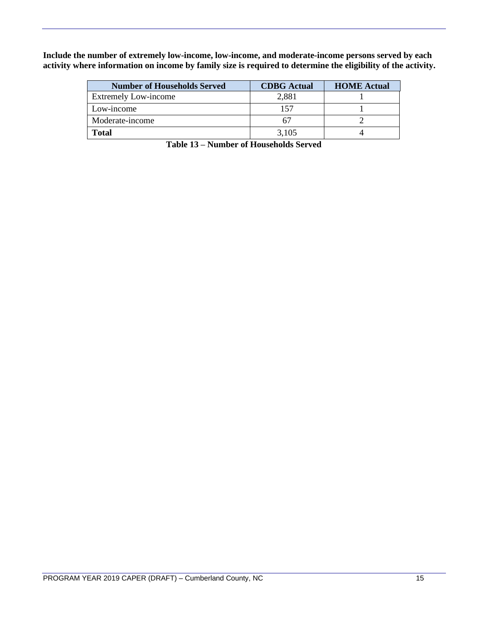**Include the number of extremely low-income, low-income, and moderate-income persons served by each activity where information on income by family size is required to determine the eligibility of the activity.**

| <b>Number of Households Served</b> | <b>CDBG</b> Actual | <b>HOME</b> Actual |
|------------------------------------|--------------------|--------------------|
| <b>Extremely Low-income</b>        | 2,881              |                    |
| Low-income                         | 157                |                    |
| Moderate-income                    | h/                 |                    |
| <b>Total</b>                       | 3,105              |                    |

**Table 13 – Number of Households Served**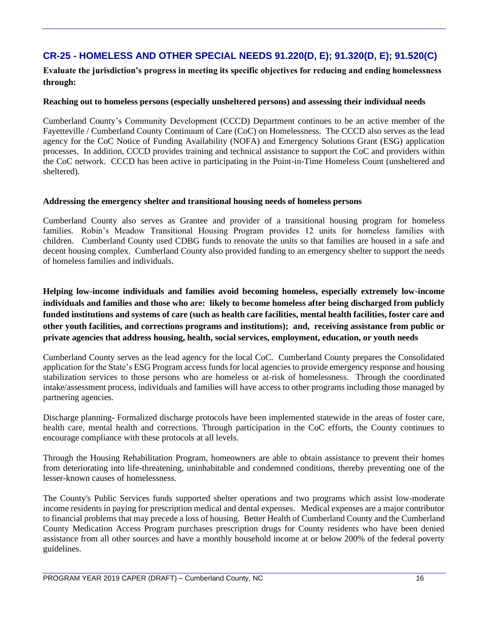# **CR-25 - HOMELESS AND OTHER SPECIAL NEEDS 91.220(D, E); 91.320(D, E); 91.520(C)**

**Evaluate the jurisdiction's progress in meeting its specific objectives for reducing and ending homelessness through:**

#### **Reaching out to homeless persons (especially unsheltered persons) and assessing their individual needs**

Cumberland County's Community Development (CCCD) Department continues to be an active member of the Fayetteville / Cumberland County Continuum of Care (CoC) on Homelessness. The CCCD also serves as the lead agency for the CoC Notice of Funding Availability (NOFA) and Emergency Solutions Grant (ESG) application processes. In addition, CCCD provides training and technical assistance to support the CoC and providers within the CoC network. CCCD has been active in participating in the Point-in-Time Homeless Count (unsheltered and sheltered).

#### **Addressing the emergency shelter and transitional housing needs of homeless persons**

Cumberland County also serves as Grantee and provider of a transitional housing program for homeless families. Robin's Meadow Transitional Housing Program provides 12 units for homeless families with children. Cumberland County used CDBG funds to renovate the units so that families are housed in a safe and decent housing complex. Cumberland County also provided funding to an emergency shelter to support the needs of homeless families and individuals.

**Helping low-income individuals and families avoid becoming homeless, especially extremely low-income individuals and families and those who are: likely to become homeless after being discharged from publicly funded institutions and systems of care (such as health care facilities, mental health facilities, foster care and other youth facilities, and corrections programs and institutions); and, receiving assistance from public or private agencies that address housing, health, social services, employment, education, or youth needs**

Cumberland County serves as the lead agency for the local CoC. Cumberland County prepares the Consolidated application for the State's ESG Program access funds for local agencies to provide emergency response and housing stabilization services to those persons who are homeless or at-risk of homelessness. Through the coordinated intake/assessment process, individuals and families will have access to other programs including those managed by partnering agencies.

Discharge planning- Formalized discharge protocols have been implemented statewide in the areas of foster care, health care, mental health and corrections. Through participation in the CoC efforts, the County continues to encourage compliance with these protocols at all levels.

Through the Housing Rehabilitation Program, homeowners are able to obtain assistance to prevent their homes from deteriorating into life-threatening, uninhabitable and condemned conditions, thereby preventing one of the lesser-known causes of homelessness.

The County's Public Services funds supported shelter operations and two programs which assist low-moderate income residents in paying for prescription medical and dental expenses. Medical expenses are a major contributor to financial problems that may precede a loss of housing. Better Health of Cumberland County and the Cumberland County Medication Access Program purchases prescription drugs for County residents who have been denied assistance from all other sources and have a monthly household income at or below 200% of the federal poverty guidelines.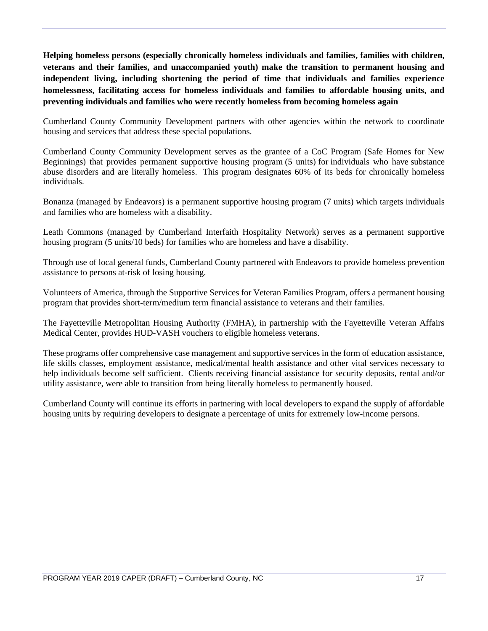**Helping homeless persons (especially chronically homeless individuals and families, families with children, veterans and their families, and unaccompanied youth) make the transition to permanent housing and independent living, including shortening the period of time that individuals and families experience homelessness, facilitating access for homeless individuals and families to affordable housing units, and preventing individuals and families who were recently homeless from becoming homeless again**

Cumberland County Community Development partners with other agencies within the network to coordinate housing and services that address these special populations.

Cumberland County Community Development serves as the grantee of a CoC Program (Safe Homes for New Beginnings) that provides permanent supportive housing program (5 units) for individuals who have substance abuse disorders and are literally homeless. This program designates 60% of its beds for chronically homeless individuals.

Bonanza (managed by Endeavors) is a permanent supportive housing program (7 units) which targets individuals and families who are homeless with a disability.

Leath Commons (managed by Cumberland Interfaith Hospitality Network) serves as a permanent supportive housing program (5 units/10 beds) for families who are homeless and have a disability.

Through use of local general funds, Cumberland County partnered with Endeavors to provide homeless prevention assistance to persons at-risk of losing housing.

Volunteers of America, through the Supportive Services for Veteran Families Program, offers a permanent housing program that provides short-term/medium term financial assistance to veterans and their families.

The Fayetteville Metropolitan Housing Authority (FMHA), in partnership with the Fayetteville Veteran Affairs Medical Center, provides HUD-VASH vouchers to eligible homeless veterans.

These programs offer comprehensive case management and supportive services in the form of education assistance, life skills classes, employment assistance, medical/mental health assistance and other vital services necessary to help individuals become self sufficient. Clients receiving financial assistance for security deposits, rental and/or utility assistance, were able to transition from being literally homeless to permanently housed.

Cumberland County will continue its efforts in partnering with local developers to expand the supply of affordable housing units by requiring developers to designate a percentage of units for extremely low-income persons.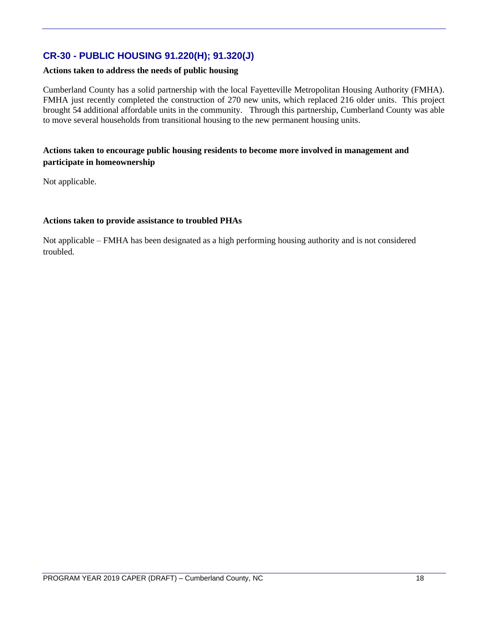# **CR-30 - PUBLIC HOUSING 91.220(H); 91.320(J)**

#### **Actions taken to address the needs of public housing**

Cumberland County has a solid partnership with the local Fayetteville Metropolitan Housing Authority (FMHA). FMHA just recently completed the construction of 270 new units, which replaced 216 older units. This project brought 54 additional affordable units in the community. Through this partnership, Cumberland County was able to move several households from transitional housing to the new permanent housing units.

#### **Actions taken to encourage public housing residents to become more involved in management and participate in homeownership**

Not applicable.

#### **Actions taken to provide assistance to troubled PHAs**

Not applicable – FMHA has been designated as a high performing housing authority and is not considered troubled.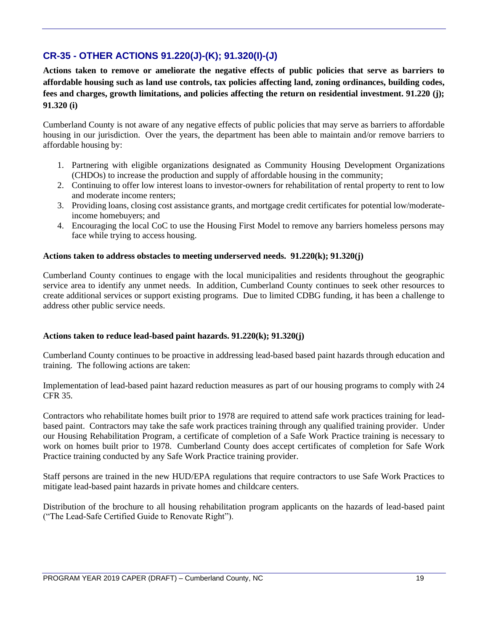# **CR-35 - OTHER ACTIONS 91.220(J)-(K); 91.320(I)-(J)**

**Actions taken to remove or ameliorate the negative effects of public policies that serve as barriers to affordable housing such as land use controls, tax policies affecting land, zoning ordinances, building codes, fees and charges, growth limitations, and policies affecting the return on residential investment. 91.220 (j); 91.320 (i)**

Cumberland County is not aware of any negative effects of public policies that may serve as barriers to affordable housing in our jurisdiction. Over the years, the department has been able to maintain and/or remove barriers to affordable housing by:

- 1. Partnering with eligible organizations designated as Community Housing Development Organizations (CHDOs) to increase the production and supply of affordable housing in the community;
- 2. Continuing to offer low interest loans to investor-owners for rehabilitation of rental property to rent to low and moderate income renters;
- 3. Providing loans, closing cost assistance grants, and mortgage credit certificates for potential low/moderateincome homebuyers; and
- 4. Encouraging the local CoC to use the Housing First Model to remove any barriers homeless persons may face while trying to access housing.

#### **Actions taken to address obstacles to meeting underserved needs. 91.220(k); 91.320(j)**

Cumberland County continues to engage with the local municipalities and residents throughout the geographic service area to identify any unmet needs. In addition, Cumberland County continues to seek other resources to create additional services or support existing programs. Due to limited CDBG funding, it has been a challenge to address other public service needs.

#### **Actions taken to reduce lead-based paint hazards. 91.220(k); 91.320(j)**

Cumberland County continues to be proactive in addressing lead-based based paint hazards through education and training. The following actions are taken:

Implementation of lead-based paint hazard reduction measures as part of our housing programs to comply with 24 CFR 35.

Contractors who rehabilitate homes built prior to 1978 are required to attend safe work practices training for leadbased paint. Contractors may take the safe work practices training through any qualified training provider. Under our Housing Rehabilitation Program, a certificate of completion of a Safe Work Practice training is necessary to work on homes built prior to 1978. Cumberland County does accept certificates of completion for Safe Work Practice training conducted by any Safe Work Practice training provider.

Staff persons are trained in the new HUD/EPA regulations that require contractors to use Safe Work Practices to mitigate lead-based paint hazards in private homes and childcare centers.

Distribution of the brochure to all housing rehabilitation program applicants on the hazards of lead-based paint ("The Lead-Safe Certified Guide to Renovate Right").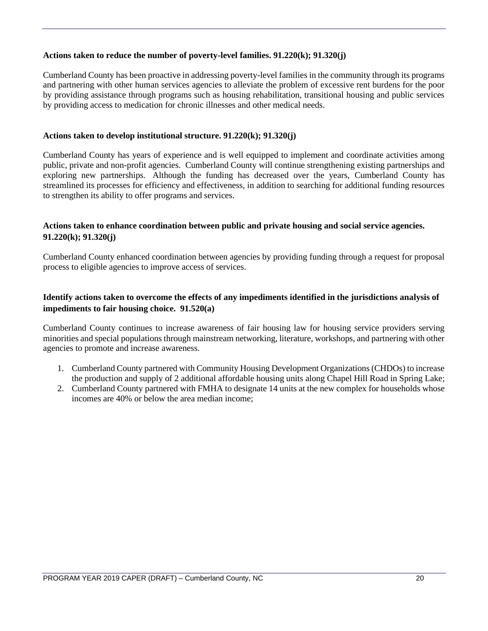#### **Actions taken to reduce the number of poverty-level families. 91.220(k); 91.320(j)**

Cumberland County has been proactive in addressing poverty-level families in the community through its programs and partnering with other human services agencies to alleviate the problem of excessive rent burdens for the poor by providing assistance through programs such as housing rehabilitation, transitional housing and public services by providing access to medication for chronic illnesses and other medical needs.

#### **Actions taken to develop institutional structure. 91.220(k); 91.320(j)**

Cumberland County has years of experience and is well equipped to implement and coordinate activities among public, private and non-profit agencies. Cumberland County will continue strengthening existing partnerships and exploring new partnerships. Although the funding has decreased over the years, Cumberland County has streamlined its processes for efficiency and effectiveness, in addition to searching for additional funding resources to strengthen its ability to offer programs and services.

#### **Actions taken to enhance coordination between public and private housing and social service agencies. 91.220(k); 91.320(j)**

Cumberland County enhanced coordination between agencies by providing funding through a request for proposal process to eligible agencies to improve access of services.

## **Identify actions taken to overcome the effects of any impediments identified in the jurisdictions analysis of impediments to fair housing choice. 91.520(a)**

Cumberland County continues to increase awareness of fair housing law for housing service providers serving minorities and special populations through mainstream networking, literature, workshops, and partnering with other agencies to promote and increase awareness.

- 1. Cumberland County partnered with Community Housing Development Organizations (CHDOs) to increase the production and supply of 2 additional affordable housing units along Chapel Hill Road in Spring Lake;
- 2. Cumberland County partnered with FMHA to designate 14 units at the new complex for households whose incomes are 40% or below the area median income;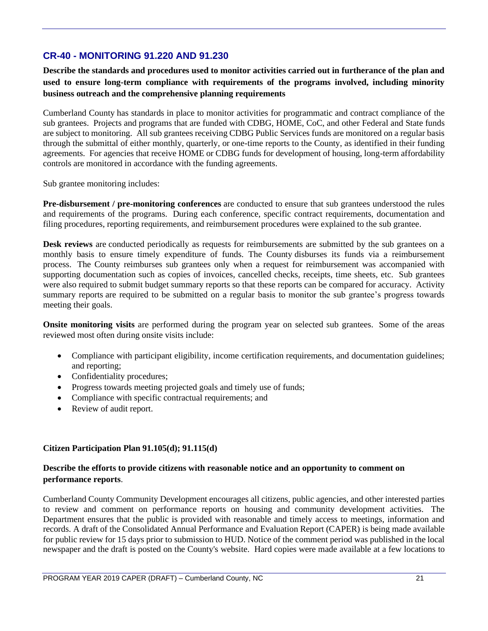# **CR-40 - MONITORING 91.220 AND 91.230**

**Describe the standards and procedures used to monitor activities carried out in furtherance of the plan and used to ensure long-term compliance with requirements of the programs involved, including minority business outreach and the comprehensive planning requirements**

Cumberland County has standards in place to monitor activities for programmatic and contract compliance of the sub grantees. Projects and programs that are funded with CDBG, HOME, CoC, and other Federal and State funds are subject to monitoring. All sub grantees receiving CDBG Public Services funds are monitored on a regular basis through the submittal of either monthly, quarterly, or one-time reports to the County, as identified in their funding agreements. For agencies that receive HOME or CDBG funds for development of housing, long-term affordability controls are monitored in accordance with the funding agreements.

Sub grantee monitoring includes:

**Pre-disbursement / pre-monitoring conferences** are conducted to ensure that sub grantees understood the rules and requirements of the programs. During each conference, specific contract requirements, documentation and filing procedures, reporting requirements, and reimbursement procedures were explained to the sub grantee.

**Desk reviews** are conducted periodically as requests for reimbursements are submitted by the sub grantees on a monthly basis to ensure timely expenditure of funds. The County disburses its funds via a reimbursement process. The County reimburses sub grantees only when a request for reimbursement was accompanied with supporting documentation such as copies of invoices, cancelled checks, receipts, time sheets, etc. Sub grantees were also required to submit budget summary reports so that these reports can be compared for accuracy. Activity summary reports are required to be submitted on a regular basis to monitor the sub grantee's progress towards meeting their goals.

**Onsite monitoring visits** are performed during the program year on selected sub grantees. Some of the areas reviewed most often during onsite visits include:

- Compliance with participant eligibility, income certification requirements, and documentation guidelines; and reporting;
- Confidentiality procedures;
- Progress towards meeting projected goals and timely use of funds;
- Compliance with specific contractual requirements; and
- Review of audit report.

#### **Citizen Participation Plan 91.105(d); 91.115(d)**

#### **Describe the efforts to provide citizens with reasonable notice and an opportunity to comment on performance reports**.

Cumberland County Community Development encourages all citizens, public agencies, and other interested parties to review and comment on performance reports on housing and community development activities. The Department ensures that the public is provided with reasonable and timely access to meetings, information and records. A draft of the Consolidated Annual Performance and Evaluation Report (CAPER) is being made available for public review for 15 days prior to submission to HUD. Notice of the comment period was published in the local newspaper and the draft is posted on the County's website. Hard copies were made available at a few locations to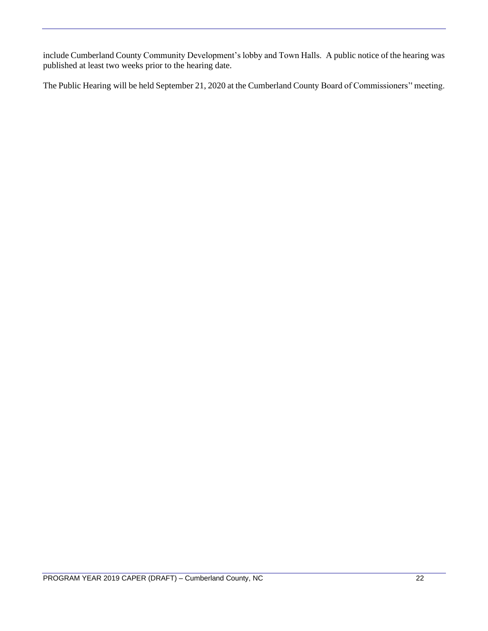include Cumberland County Community Development's lobby and Town Halls. A public notice of the hearing was published at least two weeks prior to the hearing date.

The Public Hearing will be held September 21, 2020 at the Cumberland County Board of Commissioners'' meeting.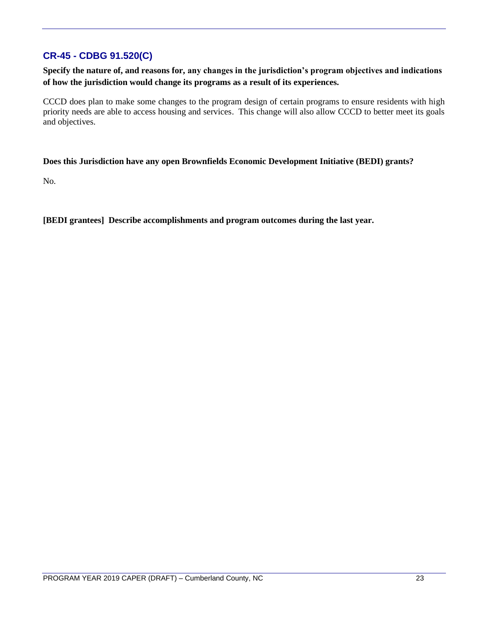# **CR-45 - CDBG 91.520(C)**

**Specify the nature of, and reasons for, any changes in the jurisdiction's program objectives and indications of how the jurisdiction would change its programs as a result of its experiences.**

CCCD does plan to make some changes to the program design of certain programs to ensure residents with high priority needs are able to access housing and services. This change will also allow CCCD to better meet its goals and objectives.

#### **Does this Jurisdiction have any open Brownfields Economic Development Initiative (BEDI) grants?**

No.

**[BEDI grantees] Describe accomplishments and program outcomes during the last year.**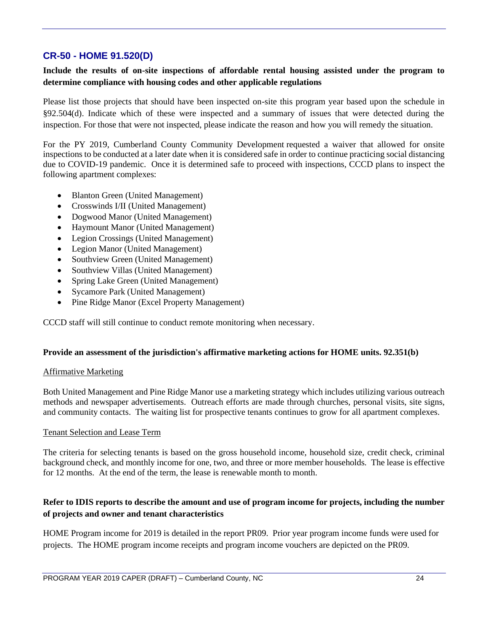# **CR-50 - HOME 91.520(D)**

#### **Include the results of on-site inspections of affordable rental housing assisted under the program to determine compliance with housing codes and other applicable regulations**

Please list those projects that should have been inspected on-site this program year based upon the schedule in §92.504(d). Indicate which of these were inspected and a summary of issues that were detected during the inspection. For those that were not inspected, please indicate the reason and how you will remedy the situation.

For the PY 2019, Cumberland County Community Development requested a waiver that allowed for onsite inspections to be conducted at a later date when it is considered safe in order to continue practicing social distancing due to COVID-19 pandemic. Once it is determined safe to proceed with inspections, CCCD plans to inspect the following apartment complexes:

- Blanton Green (United Management)
- Crosswinds I/II (United Management)
- Dogwood Manor (United Management)
- Haymount Manor (United Management)
- Legion Crossings (United Management)
- Legion Manor (United Management)
- Southview Green (United Management)
- Southview Villas (United Management)
- Spring Lake Green (United Management)
- Sycamore Park (United Management)
- Pine Ridge Manor (Excel Property Management)

CCCD staff will still continue to conduct remote monitoring when necessary.

#### **Provide an assessment of the jurisdiction's affirmative marketing actions for HOME units. 92.351(b)**

#### Affirmative Marketing

Both United Management and Pine Ridge Manor use a marketing strategy which includes utilizing various outreach methods and newspaper advertisements. Outreach efforts are made through churches, personal visits, site signs, and community contacts. The waiting list for prospective tenants continues to grow for all apartment complexes.

#### Tenant Selection and Lease Term

The criteria for selecting tenants is based on the gross household income, household size, credit check, criminal background check, and monthly income for one, two, and three or more member households. The lease is effective for 12 months. At the end of the term, the lease is renewable month to month.

#### **Refer to IDIS reports to describe the amount and use of program income for projects, including the number of projects and owner and tenant characteristics**

HOME Program income for 2019 is detailed in the report PR09. Prior year program income funds were used for projects. The HOME program income receipts and program income vouchers are depicted on the PR09.